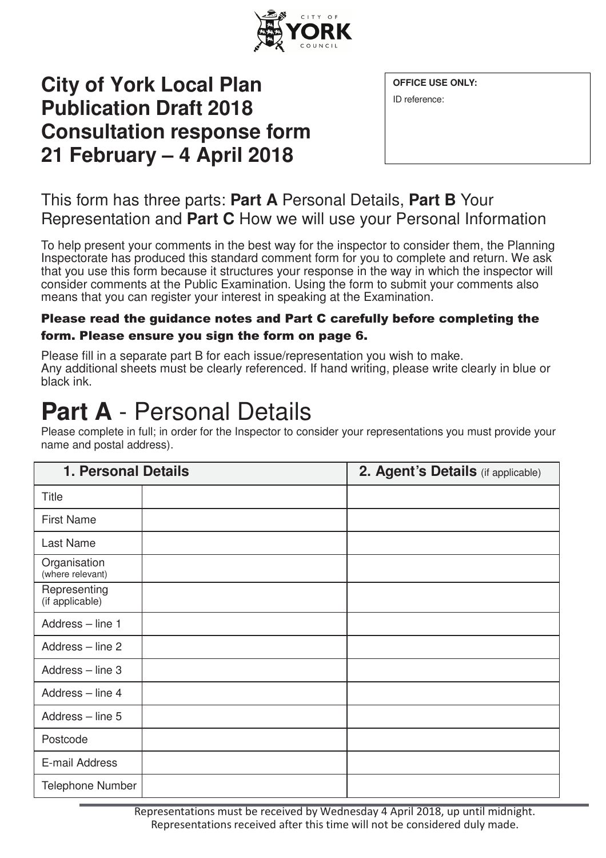

### **City of York Local Plan Publication Draft 2018 Consultation response form 21 February – 4 April 2018**

ID reference:

### This form has three parts: **Part A** Personal Details, **Part B** Your Representation and **Part C** How we will use your Personal Information

To help present your comments in the best way for the inspector to consider them, the Planning Inspectorate has produced this standard comment form for you to complete and return. We ask that you use this form because it structures your response in the way in which the inspector will consider comments at the Public Examination. Using the form to submit your comments also means that you can register your interest in speaking at the Examination.

#### Please read the guidance notes and Part C carefully before completing the form. Please ensure you sign the form on page 6.

Please fill in a separate part B for each issue/representation you wish to make. Any additional sheets must be clearly referenced. If hand writing, please write clearly in blue or black ink.

## **Part A** - Personal Details

| Please complete in full; in order for the Inspector to consider your representations you must provide your |  |
|------------------------------------------------------------------------------------------------------------|--|
| name and postal address).                                                                                  |  |

| <b>1. Personal Details</b>       | 2. Agent's Details (if applicable) |
|----------------------------------|------------------------------------|
| <b>Title</b>                     |                                    |
| <b>First Name</b>                |                                    |
| Last Name                        |                                    |
| Organisation<br>(where relevant) |                                    |
| Representing<br>(if applicable)  |                                    |
| Address - line 1                 |                                    |
| Address - line 2                 |                                    |
| Address - line 3                 |                                    |
| Address - line 4                 |                                    |
| Address - line 5                 |                                    |
| Postcode                         |                                    |
| E-mail Address                   |                                    |
| Telephone Number                 |                                    |

Representations must be received by Wednesday 4 April 2018, up until midnight. Representations received after this time will not be considered duly made.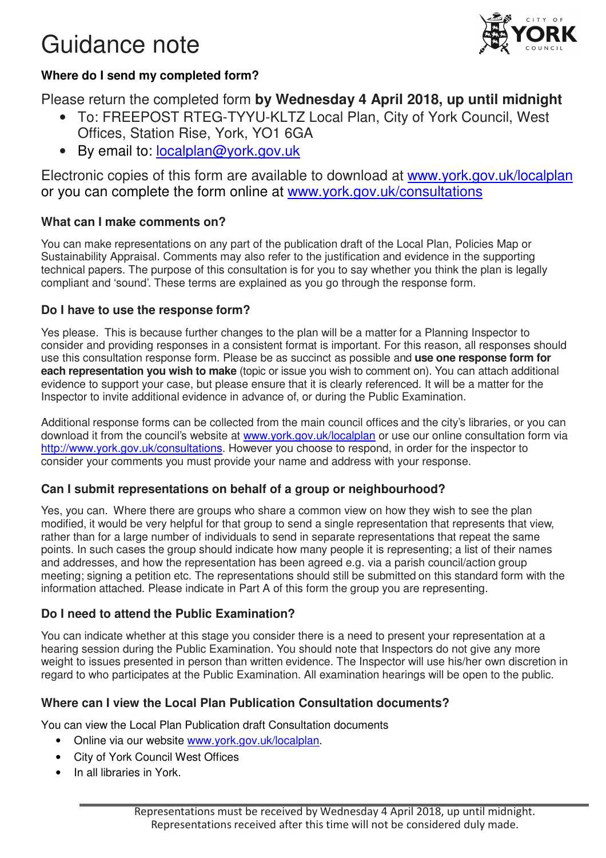### Guidance note



#### **Where do I send my completed form?**

Please return the completed form **by Wednesday 4 April 2018, up until midnight** 

- To: FREEPOST RTEG-TYYU-KLTZ Local Plan, City of York Council, West Offices, Station Rise, York, YO1 6GA
- By email to: localplan@york.gov.uk

Electronic copies of this form are available to download at www.york.gov.uk/localplan or you can complete the form online at www.york.gov.uk/consultations

#### **What can I make comments on?**

You can make representations on any part of the publication draft of the Local Plan, Policies Map or Sustainability Appraisal. Comments may also refer to the justification and evidence in the supporting technical papers. The purpose of this consultation is for you to say whether you think the plan is legally compliant and 'sound'. These terms are explained as you go through the response form.

#### **Do I have to use the response form?**

Yes please. This is because further changes to the plan will be a matter for a Planning Inspector to consider and providing responses in a consistent format is important. For this reason, all responses should use this consultation response form. Please be as succinct as possible and **use one response form for each representation you wish to make** (topic or issue you wish to comment on). You can attach additional evidence to support your case, but please ensure that it is clearly referenced. It will be a matter for the Inspector to invite additional evidence in advance of, or during the Public Examination.

Additional response forms can be collected from the main council offices and the city's libraries, or you can download it from the council's website at www.york.gov.uk/localplan or use our online consultation form via http://www.york.gov.uk/consultations. However you choose to respond, in order for the inspector to consider your comments you must provide your name and address with your response.

#### **Can I submit representations on behalf of a group or neighbourhood?**

Yes, you can. Where there are groups who share a common view on how they wish to see the plan modified, it would be very helpful for that group to send a single representation that represents that view, rather than for a large number of individuals to send in separate representations that repeat the same points. In such cases the group should indicate how many people it is representing; a list of their names and addresses, and how the representation has been agreed e.g. via a parish council/action group meeting; signing a petition etc. The representations should still be submitted on this standard form with the information attached. Please indicate in Part A of this form the group you are representing.

#### **Do I need to attend the Public Examination?**

You can indicate whether at this stage you consider there is a need to present your representation at a hearing session during the Public Examination. You should note that Inspectors do not give any more weight to issues presented in person than written evidence. The Inspector will use his/her own discretion in regard to who participates at the Public Examination. All examination hearings will be open to the public.

#### **Where can I view the Local Plan Publication Consultation documents?**

You can view the Local Plan Publication draft Consultation documents

- Online via our website www.york.gov.uk/localplan.
- City of York Council West Offices
- In all libraries in York.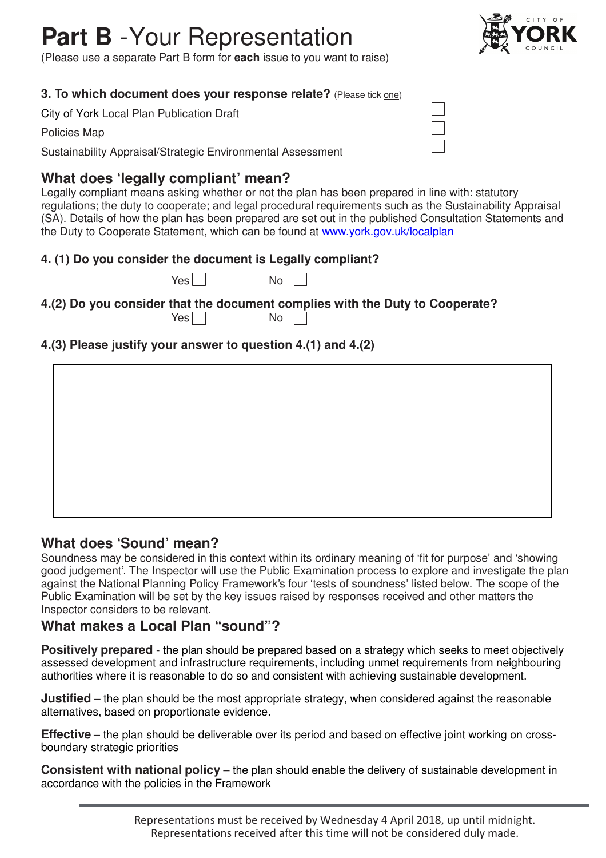# **Part B** - Your Representation

(Please use a separate Part B form for **each** issue to you want to raise)

#### **3. To which document does your response relate?** (Please tick one)

City of York Local Plan Publication Draft

Policies Map

Sustainability Appraisal/Strategic Environmental Assessment

#### **What does 'legally compliant' mean?**

Legally compliant means asking whether or not the plan has been prepared in line with: statutory regulations; the duty to cooperate; and legal procedural requirements such as the Sustainability Appraisal (SA). Details of how the plan has been prepared are set out in the published Consultation Statements and the Duty to Cooperate Statement, which can be found at www.york.gov.uk/localplan

#### **4. (1) Do you consider the document is Legally compliant?**

 $Yes \Box$  No  $\Box$ 

**4.(2) Do you consider that the document complies with the Duty to Cooperate?**  Yes  $\Box$ 

#### **4.(3) Please justify your answer to question 4.(1) and 4.(2)**

#### **What does 'Sound' mean?**

Soundness may be considered in this context within its ordinary meaning of 'fit for purpose' and 'showing good judgement'. The Inspector will use the Public Examination process to explore and investigate the plan against the National Planning Policy Framework's four 'tests of soundness' listed below. The scope of the Public Examination will be set by the key issues raised by responses received and other matters the Inspector considers to be relevant.

#### **What makes a Local Plan "sound"?**

**Positively prepared** - the plan should be prepared based on a strategy which seeks to meet objectively assessed development and infrastructure requirements, including unmet requirements from neighbouring authorities where it is reasonable to do so and consistent with achieving sustainable development.

**Justified** – the plan should be the most appropriate strategy, when considered against the reasonable alternatives, based on proportionate evidence.

**Effective** – the plan should be deliverable over its period and based on effective joint working on crossboundary strategic priorities

**Consistent with national policy** – the plan should enable the delivery of sustainable development in accordance with the policies in the Framework



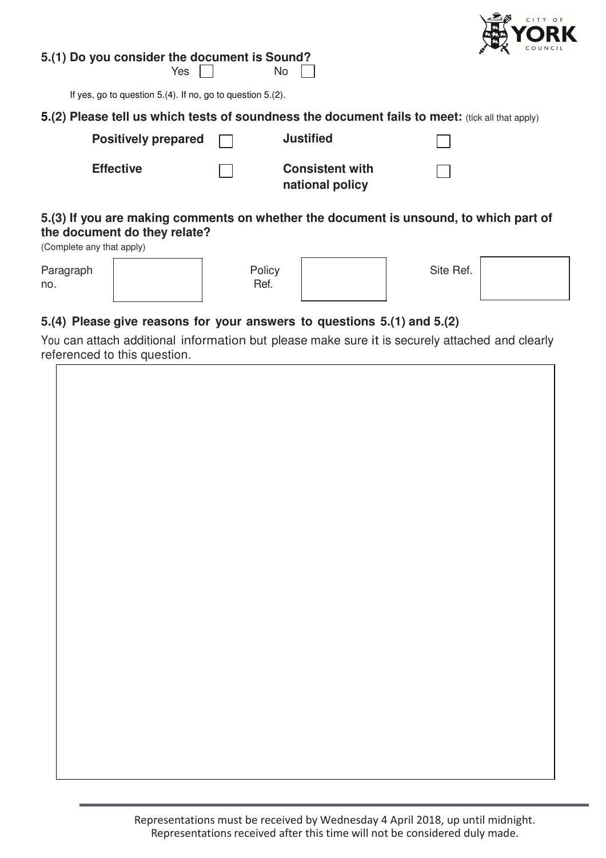

**5.(1) Do you consider the document is Sound?** 

 $Yes \tN$ 

If yes, go to question 5.(4). If no, go to question 5.(2).

| 5.(2) Please tell us which tests of soundness the document fails to meet: (tick all that apply) |                            |  |                                           |  |
|-------------------------------------------------------------------------------------------------|----------------------------|--|-------------------------------------------|--|
|                                                                                                 | Positively prepared $\Box$ |  | <b>Justified</b>                          |  |
|                                                                                                 | <b>Effective</b>           |  | <b>Consistent with</b><br>national policy |  |
|                                                                                                 |                            |  |                                           |  |

#### **5.(3) If you are making comments on whether the document is unsound, to which part of the document do they relate?**

(Complete any that apply)

| Paragraph<br>no. | Policy<br>Ref. | Site Ref. |  |
|------------------|----------------|-----------|--|
|                  |                |           |  |

#### **5.(4) Please give reasons for your answers to questions 5.(1) and 5.(2)**

You can attach additional information but please make sure it is securely attached and clearly referenced to this question.

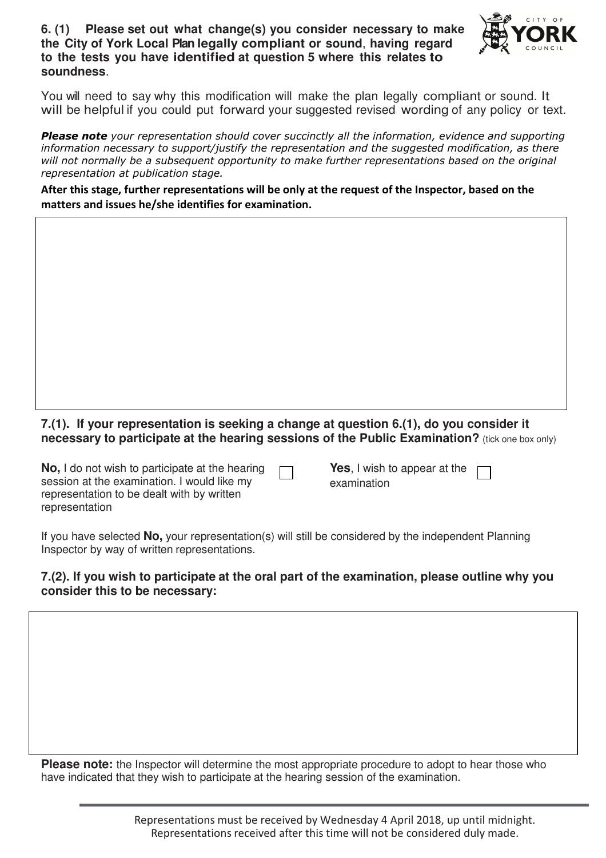#### **6. (1) Please set out what change(s) you consider necessary to make the City of York Local Plan legally compliant or sound**, **having regard to the tests you have identified at question 5 where this relates to soundness**.



You will need to say why this modification will make the plan legally compliant or sound. It will be helpful if you could put forward your suggested revised wording of any policy or text.

Please note your representation should cover succinctly all the information, evidence and supporting information necessary to support/justify the representation and the suggested modification, as there will not normally be a subsequent opportunity to make further representations based on the original representation at publication stage.

After this stage, further representations will be only at the request of the Inspector, based on the matters and issues he/she identifies for examination.

#### **7.(1). If your representation is seeking a change at question 6.(1), do you consider it necessary to participate at the hearing sessions of the Public Examination?** (tick one box only)

**No,** I do not wish to participate at the hearing session at the examination. I would like my representation to be dealt with by written representation

**Yes**, I wish to appear at the examination

If you have selected **No,** your representation(s) will still be considered by the independent Planning Inspector by way of written representations.

#### **7.(2). If you wish to participate at the oral part of the examination, please outline why you consider this to be necessary:**

**Please note:** the Inspector will determine the most appropriate procedure to adopt to hear those who have indicated that they wish to participate at the hearing session of the examination.